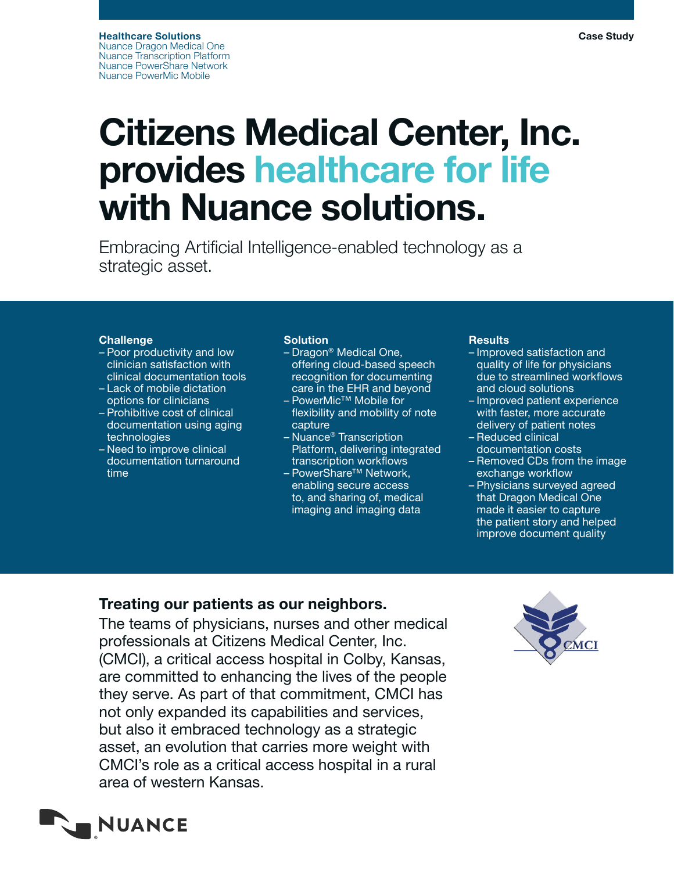# Citizens Medical Center, Inc. provides healthcare for life with Nuance solutions.

Embracing Artificial Intelligence-enabled technology as a strategic asset.

### **Challenge**

- Poor productivity and low clinician satisfaction with clinical documentation tools
- Lack of mobile dictation options for clinicians
- Prohibitive cost of clinical documentation using aging technologies
- Need to improve clinical documentation turnaround time

#### Solution

- Dragon® Medical One, offering cloud-based speech recognition for documenting care in the EHR and beyond
- PowerMic™ Mobile for flexibility and mobility of note capture
- Nuance® Transcription Platform, delivering integrated transcription workflows
- PowerShare™ Network, enabling secure access to, and sharing of, medical imaging and imaging data

#### **Results**

- Improved satisfaction and quality of life for physicians due to streamlined workflows and cloud solutions
- Improved patient experience with faster, more accurate delivery of patient notes – Reduced clinical
- documentation costs
- Removed CDs from the image exchange workflow
- Physicians surveyed agreed that Dragon Medical One made it easier to capture the patient story and helped improve document quality

Case Study

## Treating our patients as our neighbors.

The teams of physicians, nurses and other medical professionals at Citizens Medical Center, Inc. (CMCI), a critical access hospital in Colby, Kansas, are committed to enhancing the lives of the people they serve. As part of that commitment, CMCI has not only expanded its capabilities and services, but also it embraced technology as a strategic asset, an evolution that carries more weight with CMCI's role as a critical access hospital in a rural area of western Kansas.



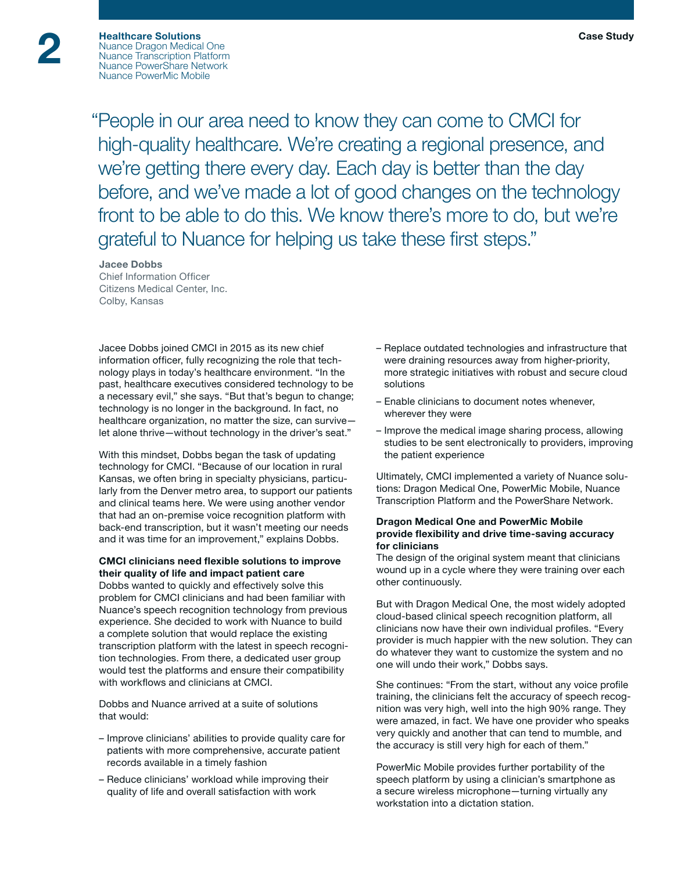"People in our area need to know they can come to CMCI for high-quality healthcare. We're creating a regional presence, and we're getting there every day. Each day is better than the day before, and we've made a lot of good changes on the technology front to be able to do this. We know there's more to do, but we're grateful to Nuance for helping us take these first steps."

#### Jacee Dobbs

Chief Information Officer Citizens Medical Center, Inc. Colby, Kansas

Jacee Dobbs joined CMCI in 2015 as its new chief information officer, fully recognizing the role that technology plays in today's healthcare environment. "In the past, healthcare executives considered technology to be a necessary evil," she says. "But that's begun to change; technology is no longer in the background. In fact, no healthcare organization, no matter the size, can survive let alone thrive—without technology in the driver's seat."

With this mindset, Dobbs began the task of updating technology for CMCI. "Because of our location in rural Kansas, we often bring in specialty physicians, particularly from the Denver metro area, to support our patients and clinical teams here. We were using another vendor that had an on-premise voice recognition platform with back-end transcription, but it wasn't meeting our needs and it was time for an improvement," explains Dobbs.

#### CMCI clinicians need flexible solutions to improve their quality of life and impact patient care

Dobbs wanted to quickly and effectively solve this problem for CMCI clinicians and had been familiar with Nuance's speech recognition technology from previous experience. She decided to work with Nuance to build a complete solution that would replace the existing transcription platform with the latest in speech recognition technologies. From there, a dedicated user group would test the platforms and ensure their compatibility with workflows and clinicians at CMCI.

Dobbs and Nuance arrived at a suite of solutions that would:

- Improve clinicians' abilities to provide quality care for patients with more comprehensive, accurate patient records available in a timely fashion
- Reduce clinicians' workload while improving their quality of life and overall satisfaction with work
- Replace outdated technologies and infrastructure that were draining resources away from higher-priority, more strategic initiatives with robust and secure cloud solutions
- Enable clinicians to document notes whenever, wherever they were
- Improve the medical image sharing process, allowing studies to be sent electronically to providers, improving the patient experience

Ultimately, CMCI implemented a variety of Nuance solutions: Dragon Medical One, PowerMic Mobile, Nuance Transcription Platform and the PowerShare Network.

#### Dragon Medical One and PowerMic Mobile provide flexibility and drive time-saving accuracy for clinicians

The design of the original system meant that clinicians wound up in a cycle where they were training over each other continuously.

But with Dragon Medical One, the most widely adopted cloud-based clinical speech recognition platform, all clinicians now have their own individual profiles. "Every provider is much happier with the new solution. They can do whatever they want to customize the system and no one will undo their work," Dobbs says.

She continues: "From the start, without any voice profile training, the clinicians felt the accuracy of speech recognition was very high, well into the high 90% range. They were amazed, in fact. We have one provider who speaks very quickly and another that can tend to mumble, and the accuracy is still very high for each of them."

PowerMic Mobile provides further portability of the speech platform by using a clinician's smartphone as a secure wireless microphone—turning virtually any workstation into a dictation station.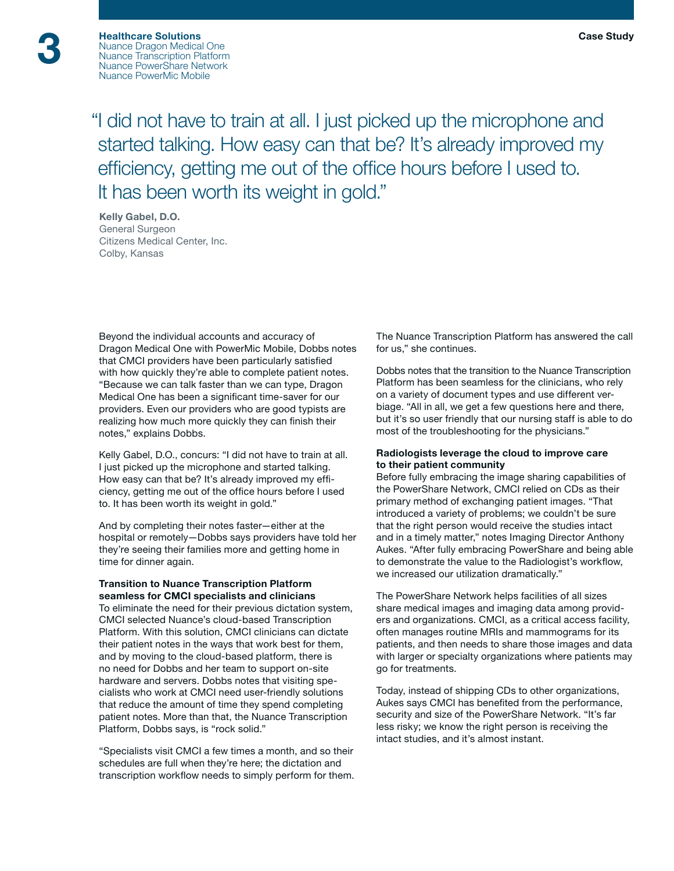"I did not have to train at all. I just picked up the microphone and started talking. How easy can that be? It's already improved my efficiency, getting me out of the office hours before I used to. It has been worth its weight in gold."

#### Kelly Gabel, D.O. General Surgeon Citizens Medical Center, Inc. Colby, Kansas

Beyond the individual accounts and accuracy of Dragon Medical One with PowerMic Mobile, Dobbs notes that CMCI providers have been particularly satisfied with how quickly they're able to complete patient notes. "Because we can talk faster than we can type, Dragon Medical One has been a significant time-saver for our providers. Even our providers who are good typists are realizing how much more quickly they can finish their notes," explains Dobbs.

Kelly Gabel, D.O., concurs: "I did not have to train at all. I just picked up the microphone and started talking. How easy can that be? It's already improved my efficiency, getting me out of the office hours before I used to. It has been worth its weight in gold."

And by completing their notes faster—either at the hospital or remotely—Dobbs says providers have told her they're seeing their families more and getting home in time for dinner again.

#### Transition to Nuance Transcription Platform seamless for CMCI specialists and clinicians

To eliminate the need for their previous dictation system, CMCI selected Nuance's cloud-based Transcription Platform. With this solution, CMCI clinicians can dictate their patient notes in the ways that work best for them, and by moving to the cloud-based platform, there is no need for Dobbs and her team to support on-site hardware and servers. Dobbs notes that visiting specialists who work at CMCI need user-friendly solutions that reduce the amount of time they spend completing patient notes. More than that, the Nuance Transcription Platform, Dobbs says, is "rock solid."

"Specialists visit CMCI a few times a month, and so their schedules are full when they're here; the dictation and transcription workflow needs to simply perform for them. The Nuance Transcription Platform has answered the call for us," she continues.

Dobbs notes that the transition to the Nuance Transcription Platform has been seamless for the clinicians, who rely on a variety of document types and use different verbiage. "All in all, we get a few questions here and there, but it's so user friendly that our nursing staff is able to do most of the troubleshooting for the physicians."

#### Radiologists leverage the cloud to improve care to their patient community

Before fully embracing the image sharing capabilities of the PowerShare Network, CMCI relied on CDs as their primary method of exchanging patient images. "That introduced a variety of problems; we couldn't be sure that the right person would receive the studies intact and in a timely matter," notes Imaging Director Anthony Aukes. "After fully embracing PowerShare and being able to demonstrate the value to the Radiologist's workflow, we increased our utilization dramatically."

The PowerShare Network helps facilities of all sizes share medical images and imaging data among providers and organizations. CMCI, as a critical access facility, often manages routine MRIs and mammograms for its patients, and then needs to share those images and data with larger or specialty organizations where patients may go for treatments.

Today, instead of shipping CDs to other organizations, Aukes says CMCI has benefited from the performance, security and size of the PowerShare Network. "It's far less risky; we know the right person is receiving the intact studies, and it's almost instant.